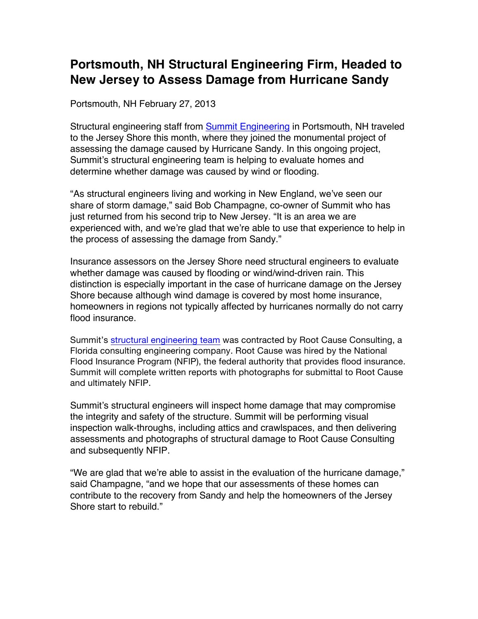## **Portsmouth, NH Structural Engineering Firm, Headed to New Jersey to Assess Damage from Hurricane Sandy**

Portsmouth, NH February 27, 2013

Structural engineering staff from Summit Engineering in Portsmouth, NH traveled to the Jersey Shore this month, where they joined the monumental project of assessing the damage caused by Hurricane Sandy. In this ongoing project, Summit's structural engineering team is helping to evaluate homes and determine whether damage was caused by wind or flooding.

"As structural engineers living and working in New England, we've seen our share of storm damage," said Bob Champagne, co-owner of Summit who has just returned from his second trip to New Jersey. "It is an area we are experienced with, and we're glad that we're able to use that experience to help in the process of assessing the damage from Sandy."

Insurance assessors on the Jersey Shore need structural engineers to evaluate whether damage was caused by flooding or wind/wind-driven rain. This distinction is especially important in the case of hurricane damage on the Jersey Shore because although wind damage is covered by most home insurance, homeowners in regions not typically affected by hurricanes normally do not carry flood insurance.

Summit's structural engineering team was contracted by Root Cause Consulting, a Florida consulting engineering company. Root Cause was hired by the National Flood Insurance Program (NFIP), the federal authority that provides flood insurance. Summit will complete written reports with photographs for submittal to Root Cause and ultimately NFIP.

Summit's structural engineers will inspect home damage that may compromise the integrity and safety of the structure. Summit will be performing visual inspection walk-throughs, including attics and crawlspaces, and then delivering assessments and photographs of structural damage to Root Cause Consulting and subsequently NFIP.

"We are glad that we're able to assist in the evaluation of the hurricane damage," said Champagne, "and we hope that our assessments of these homes can contribute to the recovery from Sandy and help the homeowners of the Jersey Shore start to rebuild."